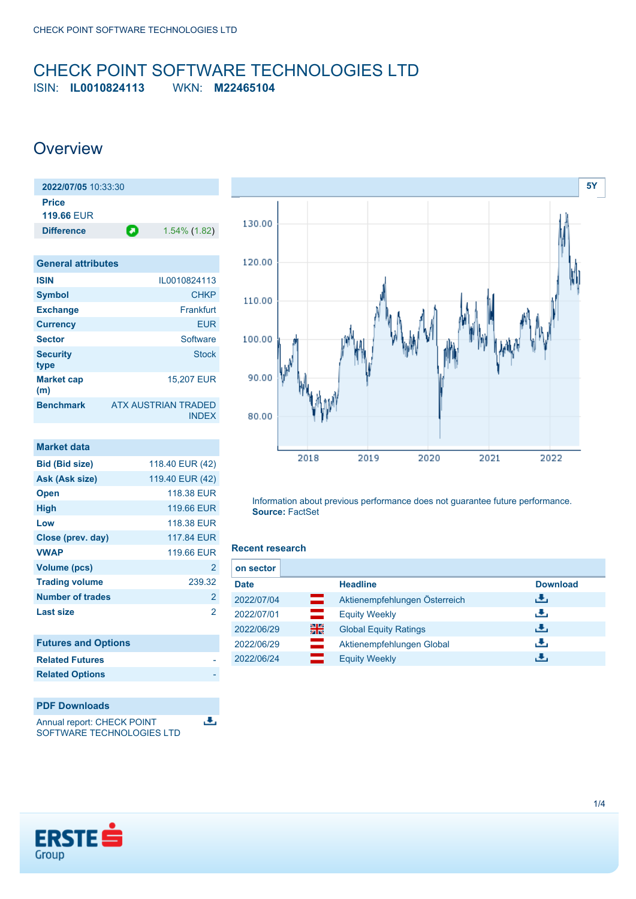## <span id="page-0-0"></span>CHECK POINT SOFTWARE TECHNOLOGIES LTD ISIN: **IL0010824113** WKN: **M22465104**

## **Overview**

**(m)**

| 2022/07/05 10:33:30        |   |              |
|----------------------------|---|--------------|
| Price<br><b>119.66 EUR</b> |   |              |
| <b>Difference</b>          | O | 1.54% (1.82) |
|                            |   |              |
| <b>General attributes</b>  |   |              |
| <b>ISIN</b>                |   | IL0010824113 |
| <b>Symbol</b>              |   | <b>CHKP</b>  |
| <b>Exchange</b>            |   | Frankfurt    |
| <b>Currency</b>            |   | <b>EUR</b>   |
| <b>Sector</b>              |   | Software     |
| <b>Security</b><br>type    |   | <b>Stock</b> |
| <b>Market cap</b>          |   | 15,207 EUR   |

**Benchmark** ATX AUSTRIAN TRADED

INDEX

區

| Market data             |                 |
|-------------------------|-----------------|
| <b>Bid (Bid size)</b>   | 118.40 EUR (42) |
| Ask (Ask size)          | 119.40 EUR (42) |
| <b>Open</b>             | 118.38 FUR      |
| <b>High</b>             | 119.66 EUR      |
| Low                     | 118.38 EUR      |
| Close (prev. day)       | 117.84 EUR      |
| <b>VWAP</b>             | 119.66 FUR      |
| <b>Volume (pcs)</b>     | $\mathbf{2}$    |
| <b>Trading volume</b>   | 239.32          |
| <b>Number of trades</b> | 2               |
| <b>Last size</b>        | 2               |

| <b>Futures and Options</b> |  |
|----------------------------|--|
| <b>Related Futures</b>     |  |
| <b>Related Options</b>     |  |
|                            |  |

### **PDF Downloads**

Annual report: CHECK POINT SOFTWARE TECHNOLOGIES LTD



Information about previous performance does not guarantee future performance. **Source:** FactSet

### **Recent research**

| on sector   |          |                               |                 |
|-------------|----------|-------------------------------|-----------------|
| <b>Date</b> |          | <b>Headline</b>               | <b>Download</b> |
| 2022/07/04  | ⋿        | Aktienempfehlungen Österreich | رائي            |
| 2022/07/01  | $=$      | <b>Equity Weekly</b>          | رالى            |
| 2022/06/29  | 을중       | <b>Global Equity Ratings</b>  | 法               |
| 2022/06/29  | $\equiv$ | Aktienempfehlungen Global     | رالى            |
| 2022/06/24  |          | <b>Equity Weekly</b>          | æ,              |

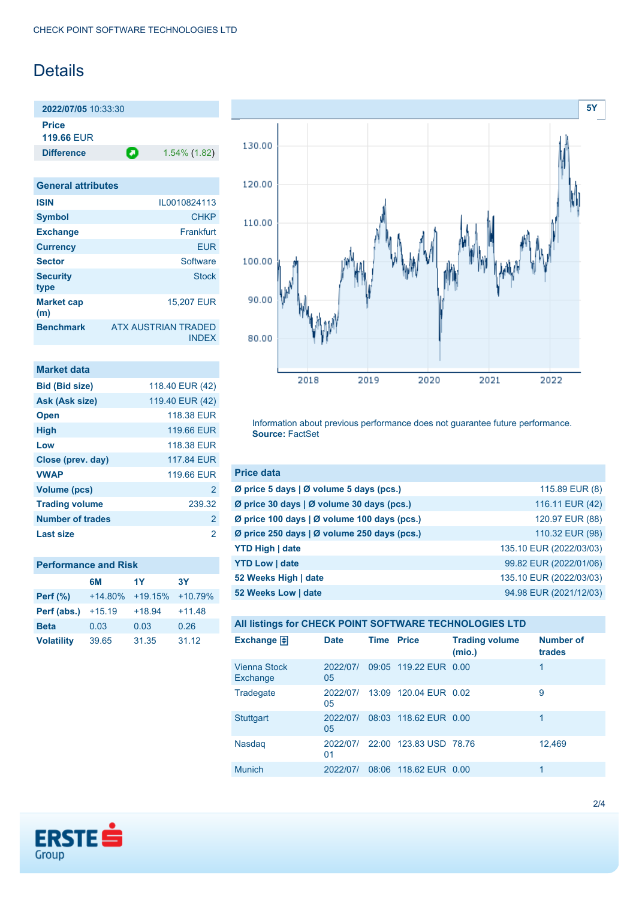# Details

**2022/07/05** 10:33:30 **Price 119.66** EUR

**Difference 1.54% (1.82)** 

| <b>General attributes</b> |                                     |
|---------------------------|-------------------------------------|
| <b>ISIN</b>               | IL0010824113                        |
| <b>Symbol</b>             | <b>CHKP</b>                         |
| <b>Exchange</b>           | Frankfurt                           |
| <b>Currency</b>           | <b>FUR</b>                          |
| <b>Sector</b>             | Software                            |
| <b>Security</b><br>type   | <b>Stock</b>                        |
| <b>Market cap</b><br>(m)  | <b>15,207 EUR</b>                   |
| <b>Benchmark</b>          | ATX AUSTRIAN TRADED<br><b>INDFX</b> |

| Market data             |                 |
|-------------------------|-----------------|
| <b>Bid (Bid size)</b>   | 118.40 EUR (42) |
| Ask (Ask size)          | 119.40 EUR (42) |
| <b>Open</b>             | 118.38 EUR      |
| <b>High</b>             | 119.66 EUR      |
| Low                     | 118.38 FUR      |
| Close (prev. day)       | 117,84 EUR      |
| <b>VWAP</b>             | 119.66 EUR      |
| <b>Volume (pcs)</b>     | 2               |
| <b>Trading volume</b>   | 239.32          |
| <b>Number of trades</b> | $\overline{2}$  |
| Last size               | 2               |

|                   | 6M        | 1Y        | <b>3Y</b> |
|-------------------|-----------|-----------|-----------|
| <b>Perf</b> (%)   | $+14.80%$ | $+19.15%$ | $+10.79%$ |
| Perf (abs.)       | $+15.19$  | $+18.94$  | $+11.48$  |
| <b>Beta</b>       | 0.03      | 0.03      | 0.26      |
| <b>Volatility</b> | 39.65     | 31.35     | 31.12     |



Information about previous performance does not guarantee future performance. **Source:** FactSet

| <b>Price data</b>                           |                         |
|---------------------------------------------|-------------------------|
| Ø price 5 days   Ø volume 5 days (pcs.)     | 115.89 EUR (8)          |
| Ø price 30 days   Ø volume 30 days (pcs.)   | 116.11 EUR (42)         |
| Ø price 100 days   Ø volume 100 days (pcs.) | 120.97 EUR (88)         |
| Ø price 250 days   Ø volume 250 days (pcs.) | 110.32 EUR (98)         |
| <b>YTD High   date</b>                      | 135.10 EUR (2022/03/03) |
| <b>YTD Low   date</b>                       | 99.82 EUR (2022/01/06)  |
| 52 Weeks High   date                        | 135.10 EUR (2022/03/03) |
| 52 Weeks Low   date                         | 94.98 EUR (2021/12/03)  |

| All listings for CHECK POINT SOFTWARE TECHNOLOGIES LTD |                |                   |                        |                                 |                     |
|--------------------------------------------------------|----------------|-------------------|------------------------|---------------------------------|---------------------|
| Exchange $\Box$                                        | <b>Date</b>    | <b>Time Price</b> |                        | <b>Trading volume</b><br>(mio.) | Number of<br>trades |
| <b>Vienna Stock</b><br>Exchange                        | 2022/07/<br>05 |                   | 09:05 119.22 EUR 0.00  |                                 | 1                   |
| Tradegate                                              | 2022/07/<br>05 |                   | 13:09 120.04 EUR 0.02  |                                 | 9                   |
| <b>Stuttgart</b>                                       | 2022/07/<br>05 |                   | 08:03 118.62 EUR 0.00  |                                 | 1                   |
| Nasdag                                                 | 2022/07/<br>01 |                   | 22:00 123.83 USD 78.76 |                                 | 12,469              |
| Munich                                                 | 2022/07/       |                   | 08:06 118.62 EUR 0.00  |                                 | 1                   |

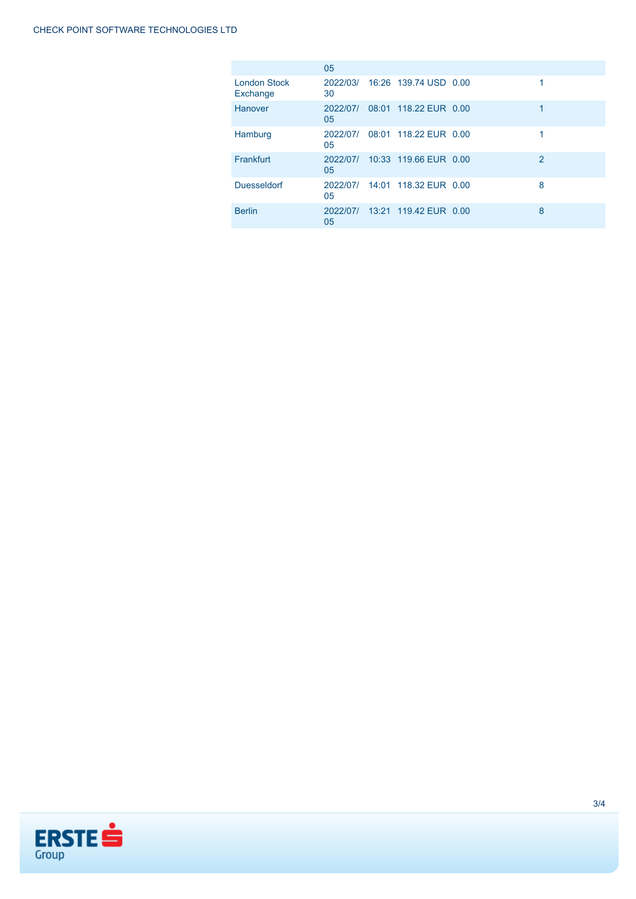|                                 | 05             |                       |   |
|---------------------------------|----------------|-----------------------|---|
| <b>London Stock</b><br>Exchange | 2022/03/<br>30 | 16:26 139.74 USD 0.00 | 1 |
| Hanover                         | 2022/07/<br>05 | 08:01 118.22 EUR 0.00 | 1 |
| Hamburg                         | 2022/07/<br>05 | 08:01 118.22 EUR 0.00 |   |
| Frankfurt                       | 2022/07/<br>05 | 10:33 119.66 EUR 0.00 | 2 |
| <b>Duesseldorf</b>              | 2022/07/<br>05 | 14:01 118.32 FUR 0.00 | 8 |
| <b>Berlin</b>                   | 2022/07/<br>05 | 13:21 119.42 EUR 0.00 | 8 |